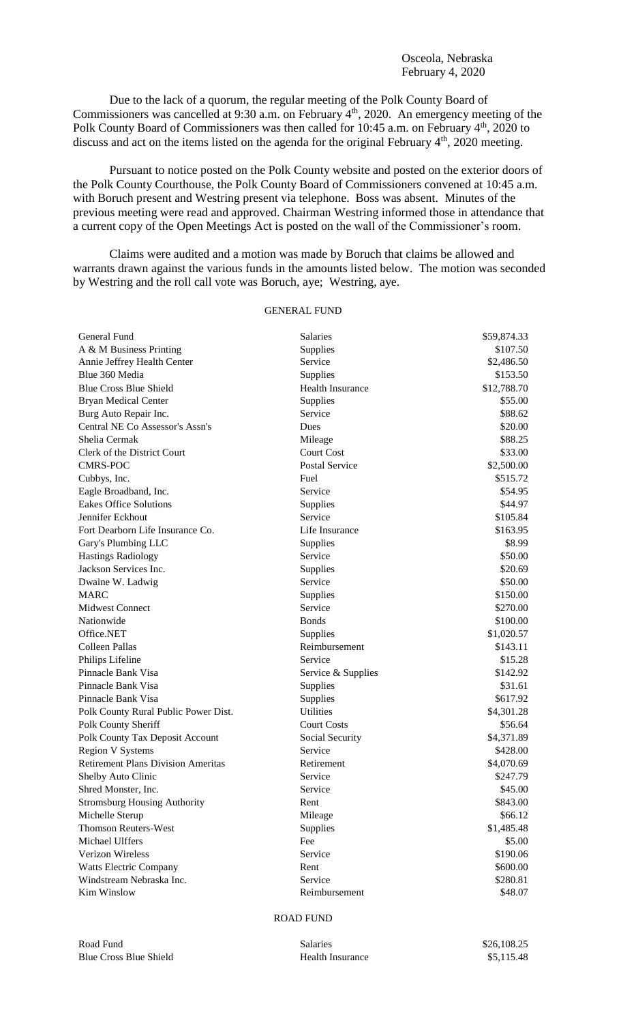Due to the lack of a quorum, the regular meeting of the Polk County Board of Commissioners was cancelled at 9:30 a.m. on February 4<sup>th</sup>, 2020. An emergency meeting of the Polk County Board of Commissioners was then called for 10:45 a.m. on February 4<sup>th</sup>, 2020 to discuss and act on the items listed on the agenda for the original February 4<sup>th</sup>, 2020 meeting.

Pursuant to notice posted on the Polk County website and posted on the exterior doors of the Polk County Courthouse, the Polk County Board of Commissioners convened at 10:45 a.m. with Boruch present and Westring present via telephone. Boss was absent. Minutes of the previous meeting were read and approved. Chairman Westring informed those in attendance that a current copy of the Open Meetings Act is posted on the wall of the Commissioner's room.

Claims were audited and a motion was made by Boruch that claims be allowed and warrants drawn against the various funds in the amounts listed below. The motion was seconded by Westring and the roll call vote was Boruch, aye; Westring, aye.

## GENERAL FUND

| General Fund                              | <b>Salaries</b>       | \$59,874.33 |
|-------------------------------------------|-----------------------|-------------|
| A & M Business Printing                   | Supplies              | \$107.50    |
| Annie Jeffrey Health Center               | Service               | \$2,486.50  |
| Blue 360 Media                            | Supplies              | \$153.50    |
| <b>Blue Cross Blue Shield</b>             | Health Insurance      | \$12,788.70 |
| <b>Bryan Medical Center</b>               | Supplies              | \$55.00     |
| Burg Auto Repair Inc.                     | Service               | \$88.62     |
| Central NE Co Assessor's Assn's           | Dues                  | \$20.00     |
| Shelia Cermak                             | Mileage               | \$88.25     |
| Clerk of the District Court               | <b>Court Cost</b>     | \$33.00     |
| <b>CMRS-POC</b>                           | <b>Postal Service</b> | \$2,500.00  |
| Cubbys, Inc.                              | Fuel                  | \$515.72    |
| Eagle Broadband, Inc.                     | Service               | \$54.95     |
| <b>Eakes Office Solutions</b>             | Supplies              | \$44.97     |
| Jennifer Eckhout                          | Service               | \$105.84    |
| Fort Dearborn Life Insurance Co.          | Life Insurance        | \$163.95    |
| Gary's Plumbing LLC                       | Supplies              | \$8.99      |
| <b>Hastings Radiology</b>                 | Service               | \$50.00     |
| Jackson Services Inc.                     | Supplies              | \$20.69     |
| Dwaine W. Ladwig                          | Service               | \$50.00     |
| <b>MARC</b>                               | Supplies              | \$150.00    |
| <b>Midwest Connect</b>                    | Service               | \$270.00    |
| Nationwide                                | <b>Bonds</b>          | \$100.00    |
| Office.NET                                | Supplies              | \$1,020.57  |
| Colleen Pallas                            | Reimbursement         | \$143.11    |
| Philips Lifeline                          | Service               | \$15.28     |
| Pinnacle Bank Visa                        | Service & Supplies    | \$142.92    |
| Pinnacle Bank Visa                        | Supplies              | \$31.61     |
| Pinnacle Bank Visa                        | Supplies              | \$617.92    |
| Polk County Rural Public Power Dist.      | <b>Utilities</b>      | \$4,301.28  |
| Polk County Sheriff                       | <b>Court Costs</b>    | \$56.64     |
| Polk County Tax Deposit Account           | Social Security       | \$4,371.89  |
| <b>Region V Systems</b>                   | Service               | \$428.00    |
| <b>Retirement Plans Division Ameritas</b> | Retirement            | \$4,070.69  |
| Shelby Auto Clinic                        | Service               | \$247.79    |
| Shred Monster, Inc.                       | Service               | \$45.00     |
| <b>Stromsburg Housing Authority</b>       | Rent                  | \$843.00    |
| Michelle Sterup                           | Mileage               | \$66.12     |
| <b>Thomson Reuters-West</b>               | Supplies              | \$1,485.48  |
| Michael Ulffers                           | Fee                   | \$5.00      |
| Verizon Wireless                          | Service               | \$190.06    |
| Watts Electric Company                    | Rent                  | \$600.00    |
| Windstream Nebraska Inc.                  | Service               | \$280.81    |
| Kim Winslow                               | Reimbursement         | \$48.07     |

## ROAD FUND

| Road Fund |                               |
|-----------|-------------------------------|
|           | <b>Blue Cross Blue Shield</b> |

| Road Fund              | Salaries         | \$26,108.25 |
|------------------------|------------------|-------------|
| Blue Cross Blue Shield | Health Insurance | \$5,115.48  |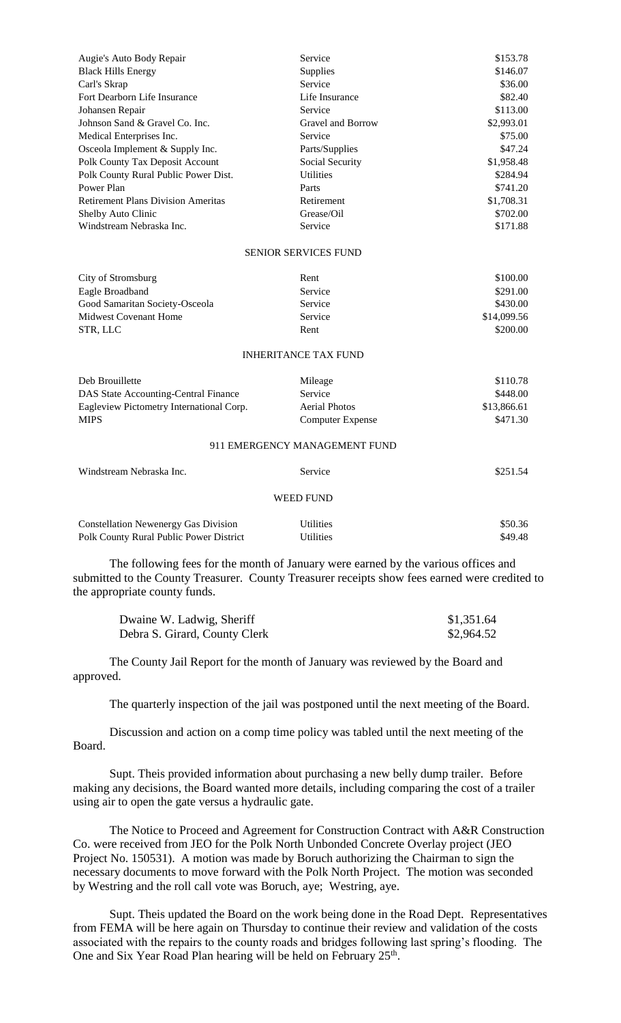| Augie's Auto Body Repair                    | Service                       | \$153.78    |
|---------------------------------------------|-------------------------------|-------------|
| <b>Black Hills Energy</b>                   | Supplies                      | \$146.07    |
| Carl's Skrap                                | Service                       | \$36.00     |
| Fort Dearborn Life Insurance                | Life Insurance                | \$82.40     |
| Johansen Repair                             | Service                       | \$113.00    |
| Johnson Sand & Gravel Co. Inc.              | Gravel and Borrow             | \$2,993.01  |
| Medical Enterprises Inc.                    | Service                       | \$75.00     |
| Osceola Implement & Supply Inc.             | Parts/Supplies                | \$47.24     |
| Polk County Tax Deposit Account             | Social Security               | \$1,958.48  |
| Polk County Rural Public Power Dist.        | <b>Utilities</b>              | \$284.94    |
| Power Plan                                  | Parts                         | \$741.20    |
| <b>Retirement Plans Division Ameritas</b>   | Retirement                    | \$1,708.31  |
| Shelby Auto Clinic                          | Grease/Oil                    | \$702.00    |
| Windstream Nebraska Inc.                    | Service                       | \$171.88    |
|                                             | <b>SENIOR SERVICES FUND</b>   |             |
| City of Stromsburg                          | Rent                          | \$100.00    |
| Eagle Broadband                             | Service                       | \$291.00    |
| Good Samaritan Society-Osceola              | Service                       | \$430.00    |
| <b>Midwest Covenant Home</b>                | Service                       | \$14,099.56 |
| STR, LLC                                    | Rent                          | \$200.00    |
|                                             | <b>INHERITANCE TAX FUND</b>   |             |
| Deb Brouillette                             | Mileage                       | \$110.78    |
| DAS State Accounting-Central Finance        | Service                       | \$448.00    |
| Eagleview Pictometry International Corp.    | <b>Aerial Photos</b>          | \$13,866.61 |
| <b>MIPS</b>                                 | <b>Computer Expense</b>       | \$471.30    |
|                                             | 911 EMERGENCY MANAGEMENT FUND |             |
| Windstream Nebraska Inc.                    | Service                       | \$251.54    |
|                                             | <b>WEED FUND</b>              |             |
| <b>Constellation Newenergy Gas Division</b> | <b>Utilities</b>              | \$50.36     |
| Polk County Rural Public Power District     | Utilities                     | \$49.48     |

The following fees for the month of January were earned by the various offices and submitted to the County Treasurer. County Treasurer receipts show fees earned were credited to the appropriate county funds.

| Dwaine W. Ladwig, Sheriff     | \$1,351.64 |
|-------------------------------|------------|
| Debra S. Girard, County Clerk | \$2,964.52 |

The County Jail Report for the month of January was reviewed by the Board and approved.

The quarterly inspection of the jail was postponed until the next meeting of the Board.

Discussion and action on a comp time policy was tabled until the next meeting of the Board.

Supt. Theis provided information about purchasing a new belly dump trailer. Before making any decisions, the Board wanted more details, including comparing the cost of a trailer using air to open the gate versus a hydraulic gate.

The Notice to Proceed and Agreement for Construction Contract with A&R Construction Co. were received from JEO for the Polk North Unbonded Concrete Overlay project (JEO Project No. 150531). A motion was made by Boruch authorizing the Chairman to sign the necessary documents to move forward with the Polk North Project. The motion was seconded by Westring and the roll call vote was Boruch, aye; Westring, aye.

Supt. Theis updated the Board on the work being done in the Road Dept. Representatives from FEMA will be here again on Thursday to continue their review and validation of the costs associated with the repairs to the county roads and bridges following last spring's flooding. The One and Six Year Road Plan hearing will be held on February 25<sup>th</sup>.